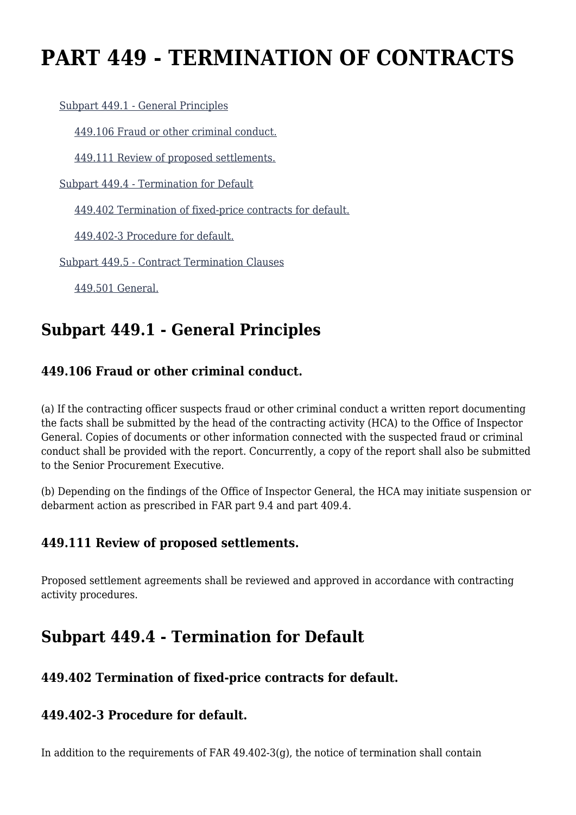# **PART 449 - TERMINATION OF CONTRACTS**

[Subpart 449.1 - General Principles](https://origin-www.acquisition.gov/%5Brp:link:agar-part-449%5D#Subpart_449_1_T48_40217481)

[449.106 Fraud or other criminal conduct.](https://origin-www.acquisition.gov/%5Brp:link:agar-part-449%5D#Section_449_106_T48_4021748111)

[449.111 Review of proposed settlements.](https://origin-www.acquisition.gov/%5Brp:link:agar-part-449%5D#Section_449_111_T48_4021748112)

[Subpart 449.4 - Termination for Default](https://origin-www.acquisition.gov/%5Brp:link:agar-part-449%5D#Subpart_449_4_T48_40217482)

[449.402 Termination of fixed-price contracts for default.](https://origin-www.acquisition.gov/%5Brp:link:agar-part-449%5D#Section_449_402_T48_4021748211)

[449.402-3 Procedure for default.](https://origin-www.acquisition.gov/%5Brp:link:agar-part-449%5D#Section_449_402_3_T48_4021748212)

[Subpart 449.5 - Contract Termination Clauses](https://origin-www.acquisition.gov/%5Brp:link:agar-part-449%5D#Subpart_449_5_T48_40217483)

[449.501 General.](https://origin-www.acquisition.gov/%5Brp:link:agar-part-449%5D#Section_449_501_T48_4021748311)

### **Subpart 449.1 - General Principles**

### **449.106 Fraud or other criminal conduct.**

(a) If the contracting officer suspects fraud or other criminal conduct a written report documenting the facts shall be submitted by the head of the contracting activity (HCA) to the Office of Inspector General. Copies of documents or other information connected with the suspected fraud or criminal conduct shall be provided with the report. Concurrently, a copy of the report shall also be submitted to the Senior Procurement Executive.

(b) Depending on the findings of the Office of Inspector General, the HCA may initiate suspension or debarment action as prescribed in FAR part 9.4 and part 409.4.

### **449.111 Review of proposed settlements.**

Proposed settlement agreements shall be reviewed and approved in accordance with contracting activity procedures.

### **Subpart 449.4 - Termination for Default**

### **449.402 Termination of fixed-price contracts for default.**

### **449.402-3 Procedure for default.**

In addition to the requirements of FAR  $49.402-3(g)$ , the notice of termination shall contain